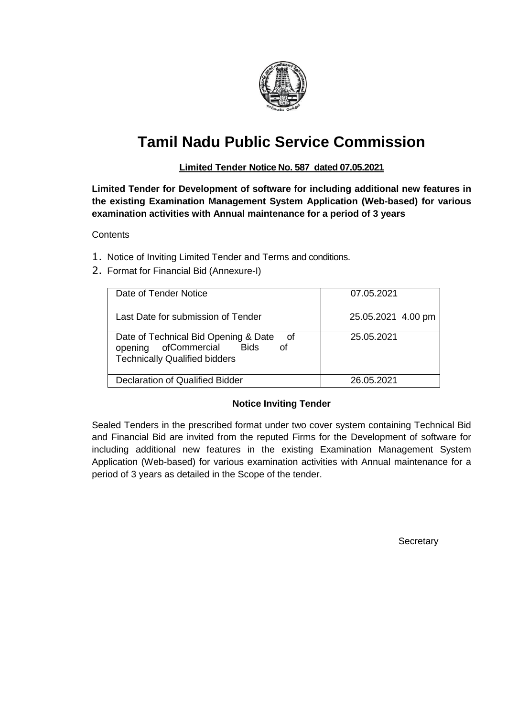

# **Tamil Nadu Public Service Commission**

## **Limited Tender Notice No. 587 dated 07.05.2021**

**Limited Tender for Development of software for including additional new features in the existing Examination Management System Application (Web-based) for various examination activities with Annual maintenance for a period of 3 years**

**Contents** 

- 1. Notice of Inviting Limited Tender and Terms and conditions.
- 2. Format for Financial Bid (Annexure-I)

| Date of Tender Notice                                                                                                  | 07.05.2021         |
|------------------------------------------------------------------------------------------------------------------------|--------------------|
| Last Date for submission of Tender                                                                                     | 25.05.2021 4.00 pm |
| Date of Technical Bid Opening & Date<br>of<br>opening of Commercial Bids<br>οf<br><b>Technically Qualified bidders</b> | 25.05.2021         |
| Declaration of Qualified Bidder                                                                                        | 26.05.2021         |

## **Notice Inviting Tender**

Sealed Tenders in the prescribed format under two cover system containing Technical Bid and Financial Bid are invited from the reputed Firms for the Development of software for including additional new features in the existing Examination Management System Application (Web-based) for various examination activities with Annual maintenance for a period of 3 years as detailed in the Scope of the tender.

**Secretary**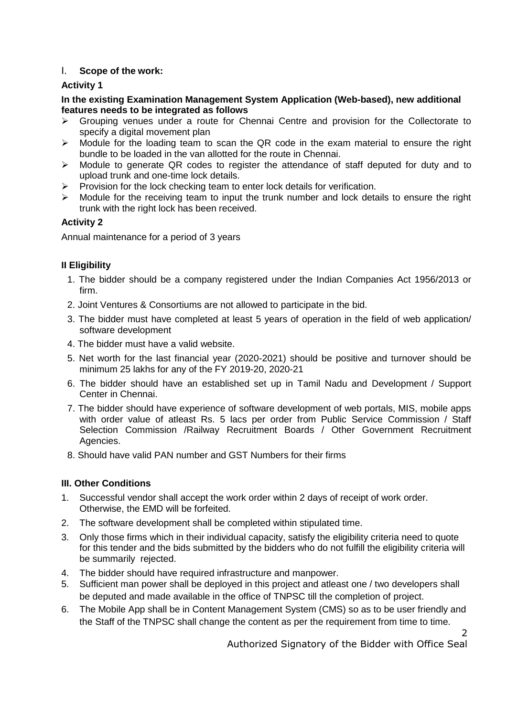## I. **Scope of the work:**

### **Activity 1**

#### **In the existing Examination Management System Application (Web-based), new additional features needs to be integrated as follows**

- $\triangleright$  Grouping venues under a route for Chennai Centre and provision for the Collectorate to specify a digital movement plan
- > Module for the loading team to scan the QR code in the exam material to ensure the right bundle to be loaded in the van allotted for the route in Chennai.
- $\triangleright$  Module to generate QR codes to register the attendance of staff deputed for duty and to upload trunk and one-time lock details.
- $\triangleright$  Provision for the lock checking team to enter lock details for verification.
- $\triangleright$  Module for the receiving team to input the trunk number and lock details to ensure the right trunk with the right lock has been received.

## **Activity 2**

Annual maintenance for a period of 3 years

## **II Eligibility**

- 1. The bidder should be a company registered under the Indian Companies Act 1956/2013 or firm.
- 2. Joint Ventures & Consortiums are not allowed to participate in the bid.
- 3. The bidder must have completed at least 5 years of operation in the field of web application/ software development
- 4. The bidder must have a valid website.
- 5. Net worth for the last financial year (2020-2021) should be positive and turnover should be minimum 25 lakhs for any of the FY 2019-20, 2020-21
- 6. The bidder should have an established set up in Tamil Nadu and Development / Support Center in Chennai.
- 7. The bidder should have experience of software development of web portals, MIS, mobile apps with order value of atleast Rs. 5 lacs per order from Public Service Commission / Staff Selection Commission /Railway Recruitment Boards / Other Government Recruitment Agencies.
- 8. Should have valid PAN number and GST Numbers for their firms

## **III. Other Conditions**

- 1. Successful vendor shall accept the work order within 2 days of receipt of work order. Otherwise, the EMD will be forfeited.
- 2. The software development shall be completed within stipulated time.
- 3. Only those firms which in their individual capacity, satisfy the eligibility criteria need to quote for this tender and the bids submitted by the bidders who do not fulfill the eligibility criteria will be summarily rejected.
- 4. The bidder should have required infrastructure and manpower.
- 5. Sufficient man power shall be deployed in this project and atleast one / two developers shall be deputed and made available in the office of TNPSC till the completion of project.
- 6. The Mobile App shall be in Content Management System (CMS) so as to be user friendly and the Staff of the TNPSC shall change the content as per the requirement from time to time.

Authorized Signatory of the Bidder with Office Seal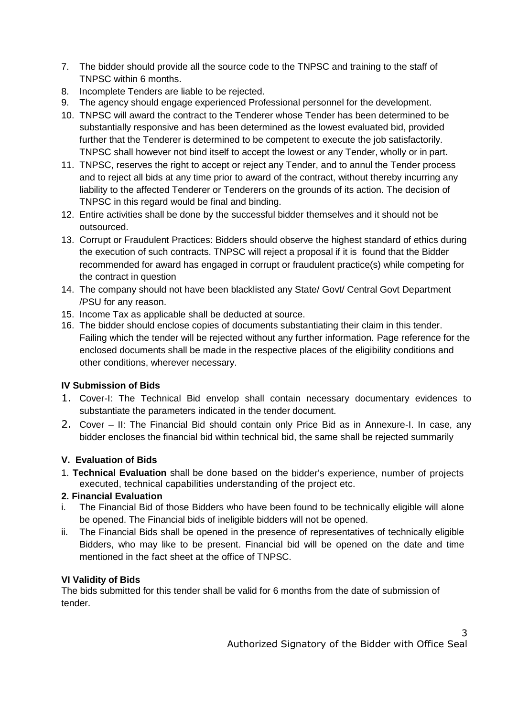- 7. The bidder should provide all the source code to the TNPSC and training to the staff of TNPSC within 6 months.
- 8. Incomplete Tenders are liable to be rejected.
- 9. The agency should engage experienced Professional personnel for the development.
- 10. TNPSC will award the contract to the Tenderer whose Tender has been determined to be substantially responsive and has been determined as the lowest evaluated bid, provided further that the Tenderer is determined to be competent to execute the job satisfactorily. TNPSC shall however not bind itself to accept the lowest or any Tender, wholly or in part.
- 11. TNPSC, reserves the right to accept or reject any Tender, and to annul the Tender process and to reject all bids at any time prior to award of the contract, without thereby incurring any liability to the affected Tenderer or Tenderers on the grounds of its action. The decision of TNPSC in this regard would be final and binding.
- 12. Entire activities shall be done by the successful bidder themselves and it should not be outsourced.
- 13. Corrupt or Fraudulent Practices: Bidders should observe the highest standard of ethics during the execution of such contracts. TNPSC will reject a proposal if it is found that the Bidder recommended for award has engaged in corrupt or fraudulent practice(s) while competing for the contract in question
- 14. The company should not have been blacklisted any State/ Govt/ Central Govt Department /PSU for any reason.
- 15. Income Tax as applicable shall be deducted at source.
- 16. The bidder should enclose copies of documents substantiating their claim in this tender. Failing which the tender will be rejected without any further information. Page reference for the enclosed documents shall be made in the respective places of the eligibility conditions and other conditions, wherever necessary.

# **IV Submission of Bids**

- 1. Cover-I: The Technical Bid envelop shall contain necessary documentary evidences to substantiate the parameters indicated in the tender document.
- 2. Cover II: The Financial Bid should contain only Price Bid as in Annexure-I. In case, any bidder encloses the financial bid within technical bid, the same shall be rejected summarily

## **V. Evaluation of Bids**

1. **Technical Evaluation** shall be done based on the bidder's experience, number of projects executed, technical capabilities understanding of the project etc.

## **2. Financial Evaluation**

- i. The Financial Bid of those Bidders who have been found to be technically eligible will alone be opened. The Financial bids of ineligible bidders will not be opened.
- ii. The Financial Bids shall be opened in the presence of representatives of technically eligible Bidders, who may like to be present. Financial bid will be opened on the date and time mentioned in the fact sheet at the office of TNPSC.

## **VI Validity of Bids**

The bids submitted for this tender shall be valid for 6 months from the date of submission of tender.

3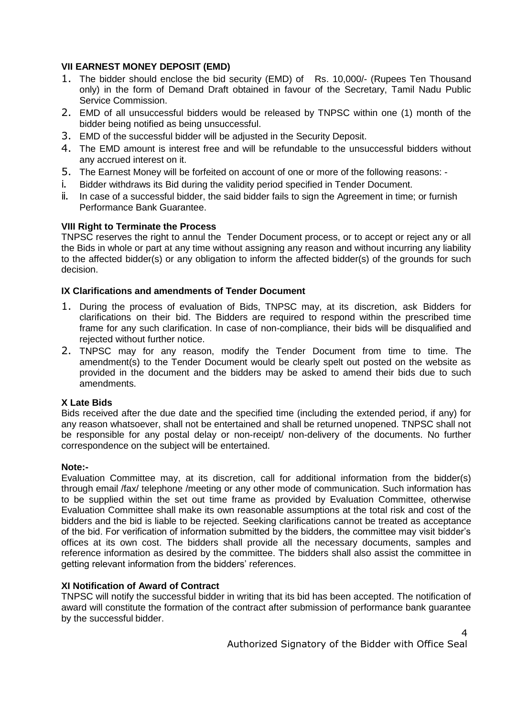## **VII EARNEST MONEY DEPOSIT (EMD)**

- 1. The bidder should enclose the bid security (EMD) of Rs. 10,000/- (Rupees Ten Thousand only) in the form of Demand Draft obtained in favour of the Secretary, Tamil Nadu Public Service Commission.
- 2. EMD of all unsuccessful bidders would be released by TNPSC within one (1) month of the bidder being notified as being unsuccessful.
- 3. EMD of the successful bidder will be adjusted in the Security Deposit.
- 4. The EMD amount is interest free and will be refundable to the unsuccessful bidders without any accrued interest on it.
- 5. The Earnest Money will be forfeited on account of one or more of the following reasons: -
- i. Bidder withdraws its Bid during the validity period specified in Tender Document.
- ii. In case of a successful bidder, the said bidder fails to sign the Agreement in time; or furnish Performance Bank Guarantee.

#### **VIII Right to Terminate the Process**

TNPSC reserves the right to annul the Tender Document process, or to accept or reject any or all the Bids in whole or part at any time without assigning any reason and without incurring any liability to the affected bidder(s) or any obligation to inform the affected bidder(s) of the grounds for such decision.

#### **IX Clarifications and amendments of Tender Document**

- 1. During the process of evaluation of Bids, TNPSC may, at its discretion, ask Bidders for clarifications on their bid. The Bidders are required to respond within the prescribed time frame for any such clarification. In case of non-compliance, their bids will be disqualified and rejected without further notice.
- 2. TNPSC may for any reason, modify the Tender Document from time to time. The amendment(s) to the Tender Document would be clearly spelt out posted on the website as provided in the document and the bidders may be asked to amend their bids due to such amendments.

#### **X Late Bids**

Bids received after the due date and the specified time (including the extended period, if any) for any reason whatsoever, shall not be entertained and shall be returned unopened. TNPSC shall not be responsible for any postal delay or non-receipt/ non-delivery of the documents. No further correspondence on the subject will be entertained.

#### **Note:-**

Evaluation Committee may, at its discretion, call for additional information from the bidder(s) through email /fax/ telephone /meeting or any other mode of communication. Such information has to be supplied within the set out time frame as provided by Evaluation Committee, otherwise Evaluation Committee shall make its own reasonable assumptions at the total risk and cost of the bidders and the bid is liable to be rejected. Seeking clarifications cannot be treated as acceptance of the bid. For verification of information submitted by the bidders, the committee may visit bidder's offices at its own cost. The bidders shall provide all the necessary documents, samples and reference information as desired by the committee. The bidders shall also assist the committee in getting relevant information from the bidders' references.

#### **XI Notification of Award of Contract**

TNPSC will notify the successful bidder in writing that its bid has been accepted. The notification of award will constitute the formation of the contract after submission of performance bank guarantee by the successful bidder.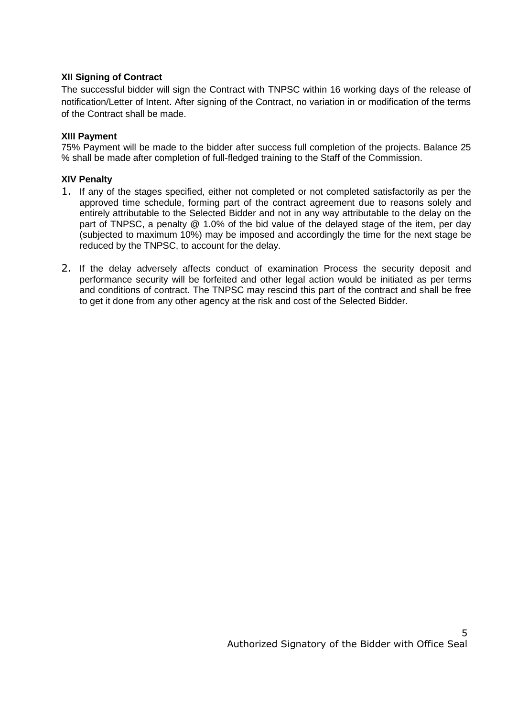#### **XII Signing of Contract**

The successful bidder will sign the Contract with TNPSC within 16 working days of the release of notification/Letter of Intent. After signing of the Contract, no variation in or modification of the terms of the Contract shall be made.

#### **XIII Payment**

75% Payment will be made to the bidder after success full completion of the projects. Balance 25 % shall be made after completion of full-fledged training to the Staff of the Commission.

#### **XIV Penalty**

- 1. If any of the stages specified, either not completed or not completed satisfactorily as per the approved time schedule, forming part of the contract agreement due to reasons solely and entirely attributable to the Selected Bidder and not in any way attributable to the delay on the part of TNPSC, a penalty @ 1.0% of the bid value of the delayed stage of the item, per day (subjected to maximum 10%) may be imposed and accordingly the time for the next stage be reduced by the TNPSC, to account for the delay.
- 2. If the delay adversely affects conduct of examination Process the security deposit and performance security will be forfeited and other legal action would be initiated as per terms and conditions of contract. The TNPSC may rescind this part of the contract and shall be free to get it done from any other agency at the risk and cost of the Selected Bidder.